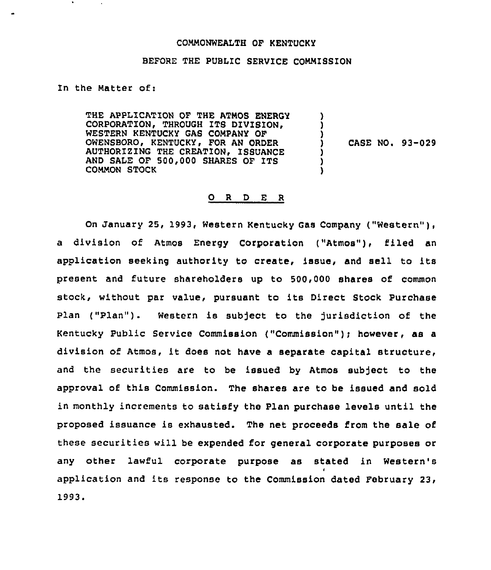## COMMONWEALTH OF KENTUCKY

## BEFORE THE PUBLIC SERVICE COMMISSION

In the Matter of:

THE APPLICATION OF THE ATMOS ENERGY CORPORATION, THROUGH ITS DIVISION. WESTERN KENTUCKY GAS COMPANY OF OWENSBOROi KENTUCKY, FOR AN ORDER AUTHORIZING THE CREATION, ISSUANCE AND SALE OF 500,000 SHARES OF ITS COMMON STOCK ) ) ) ) CASE NO. 93-029 ) ) )

## 0 <sup>R</sup> <sup>D</sup> E <sup>R</sup>

On January 25, 1993, Western Kentucky Gas Company ("Western" ), a division of Atmos Energy Corporation ("Atmos"), filed an application seeking authority to create, issue, and sell to its present and future shareholders up to 500,000 shares of common stock, without par value, pursuant to its Direct Stock Purchase Plan ("Plan"). Western is subject to the jurisdiction of the Kentucky Public Service Commission ("Commission"); however, as a division of Atmos, it does not have <sup>a</sup> separate capital structure, and the securities are to be issued by Atmos subject to the approval of this Commission. The shares are to be issued and sold in monthly increments to satisfy the Plan purchase levels until the proposed issuance is exhausted. The net proceeds from the sale of these securities will be expended for general corporate purposes or any other lawful corporate purpose as stated in Western's I application and its response to the Commission dated February 23, 1993.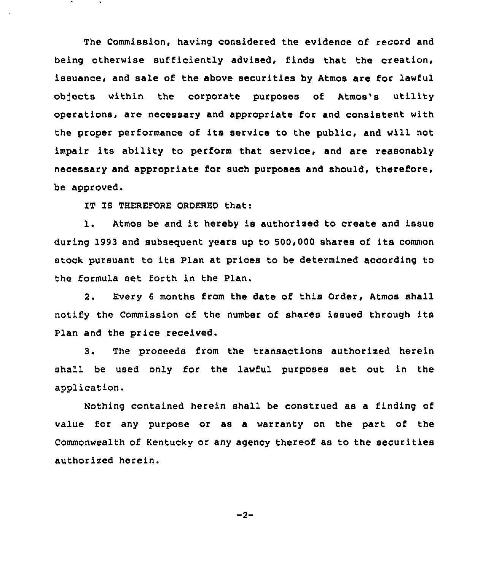The Commission, having considered the evidence of record and being otherwise sufficiently advised, finds that the creation, issuance, and sale of the above securities by Atmos are for lawful objects within the corporate purposes of Atmos's utility operations, are necessary and appropriate for and consistent with the proper performance of its service to the public, and will not impair its ability to perform that service, and are reasonably necessary and appropriate for such purposes and should, therefore, be approved.

IT IS THEREFORE ORDERED that:

l. Atmos be and it hereby is authorised to create and issue during 1993 and subseguent years up to 500,000 shares of its common stock pursuant to its Plan at prices to be determined according to the formula set forth in the Plan.

2. Every <sup>6</sup> months from the date of this Order, Atmos shall notify the Commission of the number of shares issued through its Plan and the price received.

3. The proceeds from the transactions authorized herein shall be used only for the lawful purposes set out in the application.

Nothing contained herein shall be construed as a finding of value for any purpose or as a warranty on the part of the Commonwealth of Kentucky or any agency thereof as to the securities authorized herein.

 $-2-$